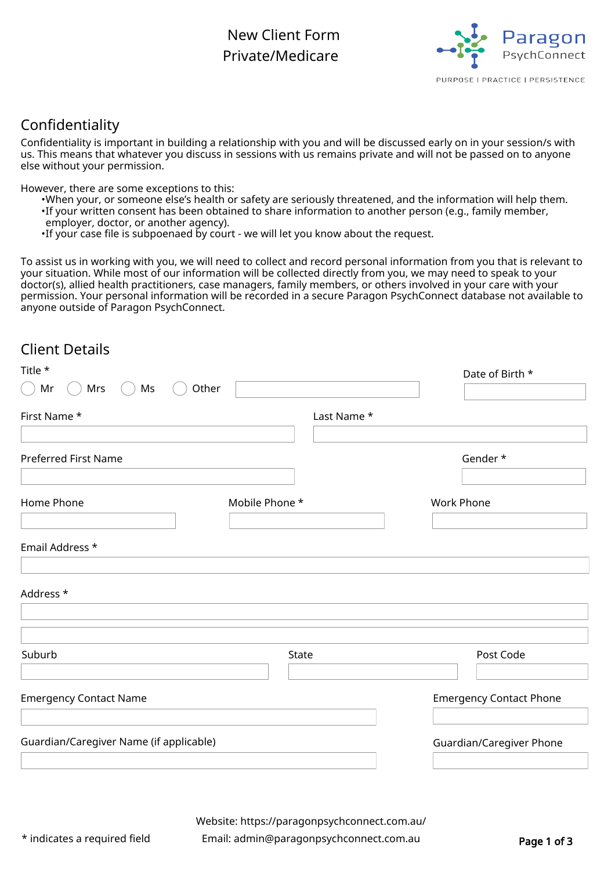## New Client Form Private/Medicare



## Confidentiality

Confidentiality is important in building a relationship with you and will be discussed early on in your session/s with us. This means that whatever you discuss in sessions with us remains private and will not be passed on to anyone else without your permission.

However, there are some exceptions to this:

- •When your, or someone else's health or safety are seriously threatened, and the information will help them.
- If your written consent has been obtained to share information to another person (e.g., family member,
- employer, doctor, or another agency).
- •If your case file is subpoenaed by court we will let you know about the request.

To assist us in working with you, we will need to collect and record personal information from you that is relevant to your situation. While most of our information will be collected directly from you, we may need to speak to your doctor(s), allied health practitioners, case managers, family members, or others involved in your care with your permission. Your personal information will be recorded in a secure Paragon PsychConnect database not available to anyone outside of Paragon PsychConnect.

## Client Details

| Title *                                 |                | Date of Birth *                |
|-----------------------------------------|----------------|--------------------------------|
| Mrs<br>Mr<br>Ms                         | Other          |                                |
| First Name *                            | Last Name *    |                                |
| <b>Preferred First Name</b>             |                | Gender*                        |
| Home Phone                              | Mobile Phone * | <b>Work Phone</b>              |
| Email Address *                         |                |                                |
| Address *                               |                |                                |
| Suburb                                  | State          | Post Code                      |
| <b>Emergency Contact Name</b>           |                | <b>Emergency Contact Phone</b> |
| Guardian/Caregiver Name (if applicable) |                | Guardian/Caregiver Phone       |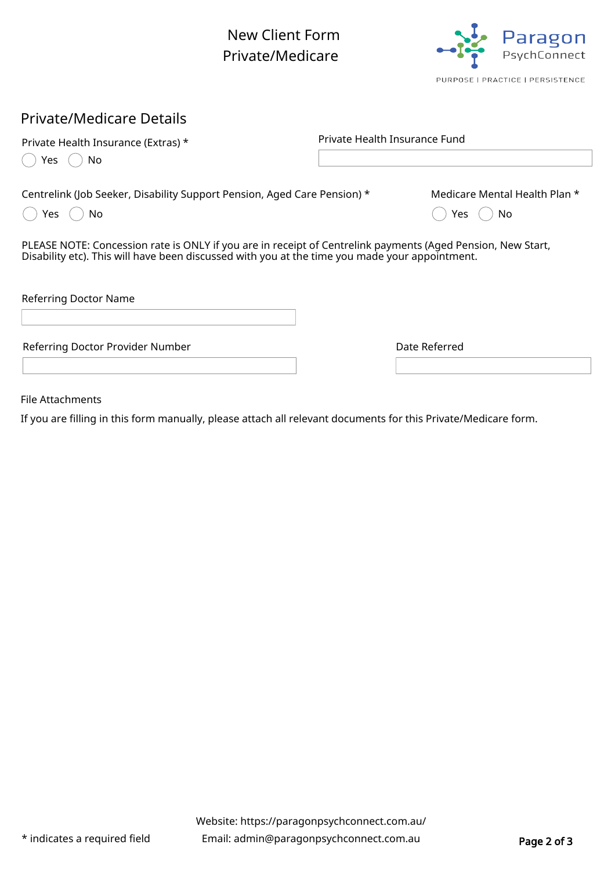New Client Form Private/Medicare



### Private/Medicare Details

| Private Health Insurance (Extras) *                                                                                                                                                                           | Private Health Insurance Fund |                                              |
|---------------------------------------------------------------------------------------------------------------------------------------------------------------------------------------------------------------|-------------------------------|----------------------------------------------|
| No<br>Yes                                                                                                                                                                                                     |                               |                                              |
| Centrelink (Job Seeker, Disability Support Pension, Aged Care Pension) *<br>Yes.<br>No.                                                                                                                       |                               | Medicare Mental Health Plan *<br>Yes.<br>No. |
| PLEASE NOTE: Concession rate is ONLY if you are in receipt of Centrelink payments (Aged Pension, New Start,<br>Disability etc). This will have been discussed with you at the time you made your appointment. |                               |                                              |
| Referring Doctor Name                                                                                                                                                                                         |                               |                                              |
| Referring Doctor Provider Number                                                                                                                                                                              |                               | Date Referred                                |
|                                                                                                                                                                                                               |                               |                                              |

File Attachments

If you are filling in this form manually, please attach all relevant documents for this Private/Medicare form.